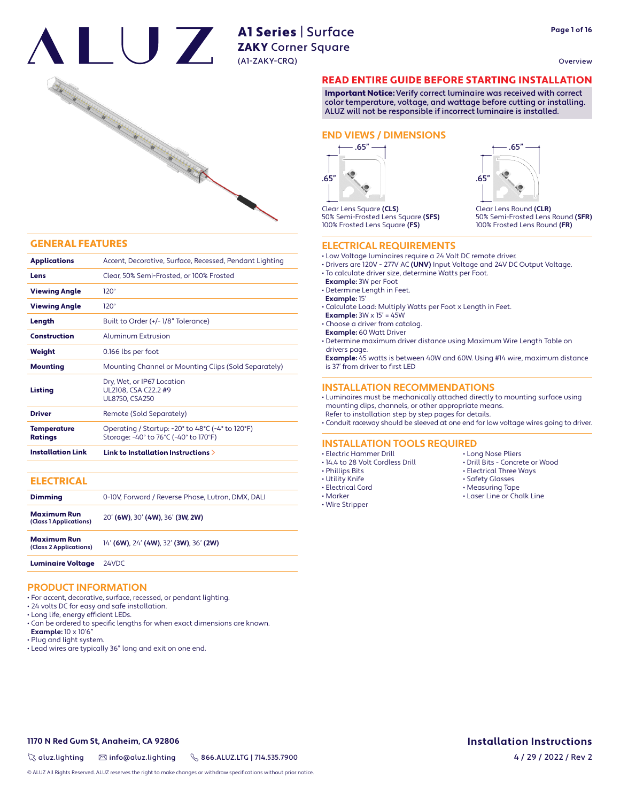Overview



#### GENERAL FEATURES

| <b>Applications</b>           | Accent, Decorative, Surface, Recessed, Pendant Lighting                                                                         |
|-------------------------------|---------------------------------------------------------------------------------------------------------------------------------|
| Lens                          | Clear, 50% Semi-Frosted, or 100% Frosted                                                                                        |
| <b>Viewing Angle</b>          | $120^\circ$                                                                                                                     |
| <b>Viewing Angle</b>          | $120^\circ$                                                                                                                     |
| Length                        | Built to Order (+/-1/8" Tolerance)                                                                                              |
| <b>Construction</b>           | Aluminum Extrusion                                                                                                              |
| Weight                        | 0.166 lbs per foot                                                                                                              |
| <b>Mounting</b>               | Mounting Channel or Mounting Clips (Sold Separately)                                                                            |
| Listing                       | Dry, Wet, or IP67 Location<br>UL2108, CSA C22.2 #9<br><b>UL8750, CSA250</b>                                                     |
| <b>Driver</b>                 | Remote (Sold Separately)                                                                                                        |
| Temperature<br><b>Ratings</b> | Operating / Startup: -20 $\degree$ to 48 $\degree$ C (-4 $\degree$ to 120 $\degree$ F)<br>Storage: -40° to 76°C (-40° to 170°F) |
| <b>Installation Link</b>      | Link to Installation Instructions $\geq$                                                                                        |

#### **ELECTRICAL**

| <b>Dimming</b>                               | 0-10V, Forward / Reverse Phase, Lutron, DMX, DALI |
|----------------------------------------------|---------------------------------------------------|
| <b>Maximum Run</b><br>(Class 1 Applications) | 20' (6W), 30' (4W), 36' (3W, 2W)                  |
| <b>Maximum Run</b><br>(Class 2 Applications) | 14' (6W), 24' (4W), 32' (3W), 36' (2W)            |

Luminaire Voltage 24VDC

#### **PRODUCT INFORMATION**

- For accent, decorative, surface, recessed, or pendant lighting.
- 24 volts DC for easy and safe installation.
- Long life, energy efficient LEDs.
- Can be ordered to specific lengths for when exact dimensions are known. **Example:** 10 x 10'6"
- Plug and light system.
- Lead wires are typically 36" long and exit on one end.

#### READ ENTIRE GUIDE BEFORE STARTING INSTALLATION

Important Notice: Verify correct luminaire was received with correct color temperature, voltage, and wattage before cutting or installing. ALUZ will not be responsible if incorrect luminaire is installed.

#### **END VIEWS / DIMENSIONS**





#### **ELECTRICAL REQUIREMENTS**

- Low Voltage luminaires require a 24 Volt DC remote driver.
- Drivers are 120V 277V AC **(UNV)** Input Voltage and 24V DC Output Voltage.
- To calculate driver size, determine Watts per Foot.
- **Example:** 3W per Foot
- Determine Length in Feet.
- **Example:** 15'
- Calculate Load: Multiply Watts per Foot x Length in Feet.
- **Example:**  $3W \times 15' = 45W$
- Choose a driver from catalog.
- **Example:** 60 Watt Driver

• Determine maximum driver distance using Maximum Wire Length Table on drivers page.

 **Example:** 45 watts is between 40W and 60W. Using #14 wire, maximum distance is 37' from driver to first LED

#### **INSTALLATION RECOMMENDATIONS**

• Luminaires must be mechanically attached directly to mounting surface using mounting clips, channels, or other appropriate means. Refer to installation step by step pages for details.

• Conduit raceway should be sleeved at one end for low voltage wires going to driver.

#### **INSTALLATION TOOLS REQUIRED**

- Electric Hammer Drill
- 14.4 to 28 Volt Cordless Drill
- Phillips Bits
- Utility Knife
- Electrical Cord
- Marker
- Wire Stripper
- Long Nose Pliers
- Drill Bits Concrete or Wood

Clear Lens Round **(CLR)**

.65"

.65"

50% Semi-Frosted Lens Round **(SFR)** 100% Frosted Lens Round **(FR)**

- Electrical Three Ways
- Safety Glasses
- Measuring Tape
- Laser Line or Chalk Line

**1170 N Red Gum St, Anaheim, CA 92806**

 $\%$  aluz.lighting  $\%$  info@aluz.lighting  $\%$  866.ALUZ.LTG | 714.535.7900

© ALUZ All Rights Reserved. ALUZ reserves the right to make changes or withdraw specifications without prior notice.

# **Installation Instructions**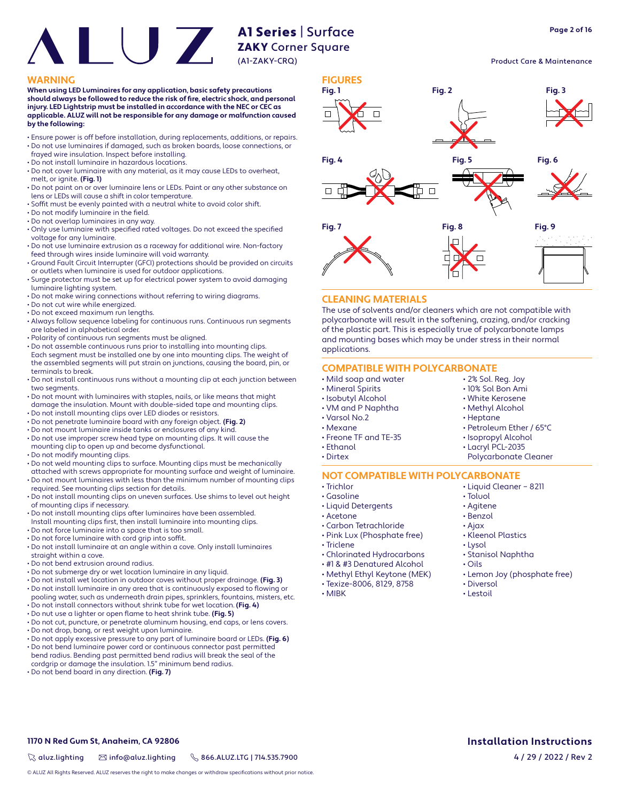**When using LED Luminaires for any application, basic safety precautions**  should always be followed to reduce the risk of fire, electric shock, and personal **injury. LED Lightstrip must be installed in accordance with the NEC or CEC as applicable. ALUZ will not be responsible for any damage or malfunction caused by the following:**

- Ensure power is off before installation, during replacements, additions, or repairs. • Do not use luminaires if damaged, such as broken boards, loose connections, or
- frayed wire insulation. Inspect before installing.
- Do not install luminaire in hazardous locations.
- Do not cover luminaire with any material, as it may cause LEDs to overheat, melt, or ignite. **(Fig. 1)**
- Do not paint on or over luminaire lens or LEDs. Paint or any other substance on lens or LEDs will cause a shift in color temperature.
- Soffit must be evenly painted with a neutral white to avoid color shift.
- $\cdot$  Do not modify luminaire in the field.
- Do not overlap luminaires in any way.
- Only use luminaire with specified rated voltages. Do not exceed the specified voltage for any luminaire.
- Do not use luminaire extrusion as a raceway for additional wire. Non-factory feed through wires inside luminaire will void warranty.
- Ground Fault Circuit Interrupter (GFCI) protections should be provided on circuits or outlets when luminaire is used for outdoor applications.
- Surge protector must be set up for electrical power system to avoid damaging luminaire lighting system.
- Do not make wiring connections without referring to wiring diagrams.
- Do not cut wire while energized.
- Do not exceed maximum run lengths.
- Always follow sequence labeling for continuous runs. Continuous run segments are labeled in alphabetical order.
- Polarity of continuous run segments must be aligned.
- Do not assemble continuous runs prior to installing into mounting clips. Each segment must be installed one by one into mounting clips. The weight of the assembled segments will put strain on junctions, causing the board, pin, or terminals to break.
- Do not install continuous runs without a mounting clip at each junction between two segments.
- Do not mount with luminaires with staples, nails, or like means that might damage the insulation. Mount with double-sided tape and mounting clips.
- Do not install mounting clips over LED diodes or resistors.
- Do not penetrate luminaire board with any foreign object. **(Fig. 2)**
- Do not mount luminaire inside tanks or enclosures of any kind.
- Do not use improper screw head type on mounting clips. It will cause the mounting clip to open up and become dysfunctional.
- Do not modify mounting clips.
- Do not weld mounting clips to surface. Mounting clips must be mechanically
- attached with screws appropriate for mounting surface and weight of luminaire. • Do not mount luminaires with less than the minimum number of mounting clips
- required. See mounting clips section for details. • Do not install mounting clips on uneven surfaces. Use shims to level out height of mounting clips if necessary.
- Do not install mounting clips after luminaires have been assembled.
- Install mounting clips first, then install luminaire into mounting clips.
- Do not force luminaire into a space that is too small.
- Do not force luminaire with cord grip into soffit.
- Do not install luminaire at an angle within a cove. Only install luminaires straight within a cove.
- Do not bend extrusion around radius.
- Do not submerge dry or wet location luminaire in any liquid.
- Do not install wet location in outdoor coves without proper drainage. **(Fig. 3)** • Do not install luminaire in any area that is continuously exposed to flowing or
- pooling water, such as underneath drain pipes, sprinklers, fountains, misters, etc. • Do not install connectors without shrink tube for wet location. **(Fig. 4)**
- Do nut use a lighter or open flame to heat shrink tube. **(Fig. 5)**
- Do not cut, puncture, or penetrate aluminum housing, end caps, or lens covers.
- Do not drop, bang, or rest weight upon luminaire.
- Do not apply excessive pressure to any part of luminaire board or LEDs. **(Fig. 6)**
- Do not bend luminaire power cord or continuous connector past permitted bend radius. Bending past permitted bend radius will break the seal of the cordgrip or damage the insulation. 1.5" minimum bend radius.
- Do not bend board in any direction. **(Fig. 7)**



#### **CLEANING MATERIALS**

The use of solvents and/or cleaners which are not compatible with polycarbonate will result in the softening, crazing, and/or cracking of the plastic part. This is especially true of polycarbonate lamps and mounting bases which may be under stress in their normal applications.

#### **COMPATIBLE WITH POLYCARBONATE**

- Mild soap and water
- Mineral Spirits
- Isobutyl Alcohol
- VM and P Naphtha
- Varsol No.2
- Mexane
- Freone TF and TE-35
- Ethanol
- Dirtex
- 

#### **NOT COMPATIBLE WITH POLYCARBONATE**

- Trichlor
- Gasoline
- Liquid Detergents
- Acetone
- Carbon Tetrachloride • Pink Lux (Phosphate free)
- Triclene
- 
- Chlorinated Hydrocarbons • #1 & #3 Denatured Alcohol
- 
- Methyl Ethyl Keytone (MEK) • Texize-8006, 8129, 8758
- 
- MIBK

• Liquid Cleaner – 8211 • Toluol

• 2% Sol. Reg. Joy • 10% Sol Bon Ami • White Kerosene • Methyl Alcohol • Heptane

• Petroleum Ether / 65°C • Isopropyl Alcohol • Lacryl PCL-2035 Polycarbonate Cleaner

- Agitene
- Benzol
- Ajax
- Kleenol Plastics
- Lysol
- Stanisol Naphtha
- Oils
- Lemon Joy (phosphate free)
- Diversol
- Lestoil

 $\%$  aluz.lighting  $\%$  info@aluz.lighting  $\%$  866.ALUZ.LTG | 714.535.7900

© ALUZ All Rights Reserved. ALUZ reserves the right to make changes or withdraw specifications without prior notice.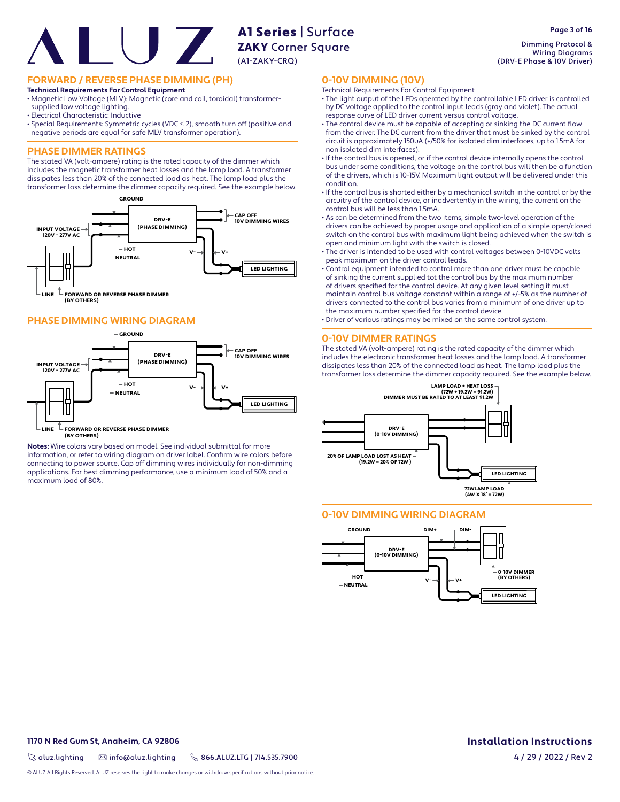**FORWARD / REVERSE PHASE DIMMING (PH)**

#### **Technical Requirements For Control Equipment**

• Magnetic Low Voltage (MLV): Magnetic (core and coil, toroidal) transformersupplied low voltage lighting.

- Electrical Characteristic: Inductive
- Special Requirements: Symmetric cycles (VDC ≤ 2), smooth turn off (positive and negative periods are equal for safe MLV transformer operation).

#### **PHASE DIMMER RATINGS**

The stated VA (volt-ampere) rating is the rated capacity of the dimmer which includes the magnetic transformer heat losses and the lamp load. A transformer dissipates less than 20% of the connected load as heat. The lamp load plus the transformer loss determine the dimmer capacity required. See the example below.







 $\mathbb L$  FORWARD OR REVERSE PHASE DIMMER **(BY OTHERS) LINE**

**Notes:** Wire colors vary based on model. See individual submittal for more information, or refer to wiring diagram on driver label. Confirm wire colors before connecting to power source. Cap off dimming wires individually for non-dimming applications. For best dimming performance, use a minimum load of 50% and a maximum load of 80%.

Dimming Protocol & Wiring Diagrams (DRV-E Phase & 10V Driver)

#### **0-10V DIMMING (10V)**

- Technical Requirements For Control Equipment
- The light output of the LEDs operated by the controllable LED driver is controlled by DC voltage applied to the control input leads (gray and violet). The actual response curve of LED driver current versus control voltage.
- The control device must be capable of accepting or sinking the DC current flow from the driver. The DC current from the driver that must be sinked by the control circuit is approximately 150uA (+/50% for isolated dim interfaces, up to 1.5mA for non isolated dim interfaces).
- If the control bus is opened, or if the control device internally opens the control bus under some conditions, the voltage on the control bus will then be a function of the drivers, which is 10-15V. Maximum light output will be delivered under this condition.
- If the control bus is shorted either by a mechanical switch in the control or by the circuitry of the control device, or inadvertently in the wiring, the current on the control bus will be less than 1.5mA.
- As can be determined from the two items, simple two-level operation of the drivers can be achieved by proper usage and application of a simple open/closed switch on the control bus with maximum light being achieved when the switch is open and minimum light with the switch is closed.
- The driver is intended to be used with control voltages between 0-10VDC volts peak maximum on the driver control leads.
- Control equipment intended to control more than one driver must be capable of sinking the current supplied tot the control bus by the maximum number of drivers specified for the control device. At any given level setting it must maintain control bus voltage constant within a range of +/-5% as the number of drivers connected to the control bus varies from a minimum of one driver up to the maximum number specified for the control device.
- Driver of various ratings may be mixed on the same control system.

#### **0-10V DIMMER RATINGS**

The stated VA (volt-ampere) rating is the rated capacity of the dimmer which includes the electronic transformer heat losses and the lamp load. A transformer dissipates less than 20% of the connected load as heat. The lamp load plus the transformer loss determine the dimmer capacity required. See the example below.



#### **0-10V DIMMING WIRING DIAGRAM**



#### **1170 N Red Gum St, Anaheim, CA 92806**

 $\%$  aluz.lighting  $\%$  info@aluz.lighting  $\%$  866.ALUZ.LTG | 714.535.7900

**Page 3 of 16**

**Installation Instructions** 4 / 29 / 2022 / Rev 2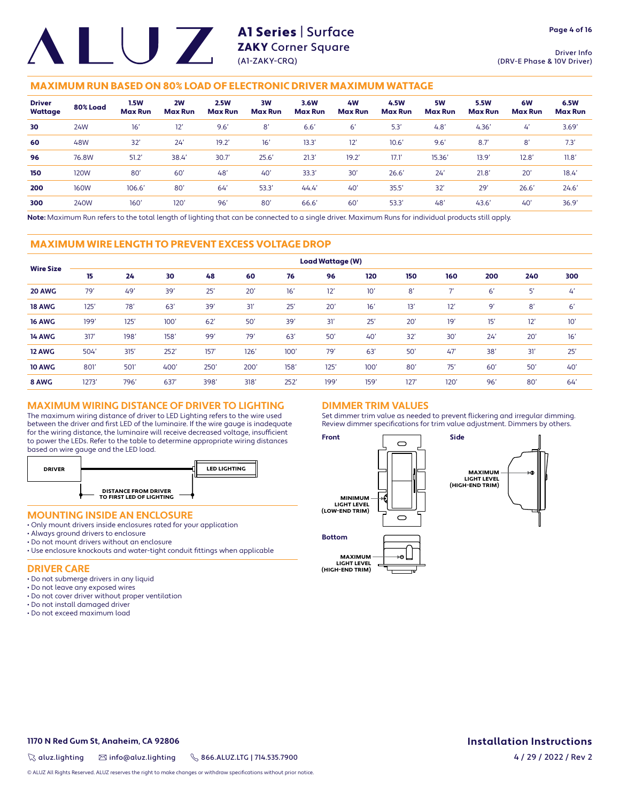Driver Info (DRV-E Phase & 10V Driver)

#### MAXIMUM RUN BASED ON 80% LOAD OF ELECTRONIC DRIVER MAXIMUM WATTAGE

| <b>Driver</b><br>Wattage | 80% Load    | <b>1.5W</b><br><b>Max Run</b> | 2W<br><b>Max Run</b> | <b>2.5W</b><br><b>Max Run</b> | 3W<br><b>Max Run</b> | 3.6W<br><b>Max Run</b> | 4 <b>W</b><br><b>Max Run</b> | 4.5W<br><b>Max Run</b> | 5W<br><b>Max Run</b> | <b>5.5W</b><br><b>Max Run</b> | 6W<br><b>Max Run</b> | 6.5W<br><b>Max Run</b> |
|--------------------------|-------------|-------------------------------|----------------------|-------------------------------|----------------------|------------------------|------------------------------|------------------------|----------------------|-------------------------------|----------------------|------------------------|
| 30                       | 24W         | 16'                           | 12'                  | 9.6'                          | 8'                   | 6.6'                   | 6'                           | 5.3                    | 4.8'                 | 4.36'                         | $\mathcal{L}'$       | 3.69'                  |
| 60                       | 48W         | 32'                           | 24'                  | 19.2'                         | 16'                  | 13.3                   | 12'                          | 10.6'                  | 9.6'                 | 8.7'                          | 8'                   | 7.3'                   |
| 96                       | 76.8W       | 51.2'                         | 38.4                 | 30.7                          | 25.6'                | 21.3'                  | 19.2'                        | 17.1                   | 15.36'               | 13.9'                         | 12.8'                | 11.8'                  |
| 150                      | 120W        | 80'                           | 60'                  | 48 <sup>°</sup>               | 40'                  | 33.3'                  | 30'                          | 26.6'                  | 24'                  | 21.8'                         | 20'                  | 18.4'                  |
| 200                      | <b>160W</b> | 106.6'                        | 80'                  | 64                            | 53.3'                | 44.4'                  | 40'                          | 35.5'                  | 32'                  | 29'                           | 26.6'                | 24.6'                  |
| 300                      | 240W        | $160^\circ$                   | 120 <sup>°</sup>     | 96'                           | 80'                  | 66.6                   | 60'                          | 53.3                   | 48'                  | 43.6'                         | 40'                  | 36.9'                  |

**Note:** Maximum Run refers to the total length of lighting that can be connected to a single driver. Maximum Runs for individual products still apply.

#### MAXIMUM WIRE LENGTH TO PREVENT EXCESS VOLTAGE DROP

|                  | <b>Load Wattage (W)</b> |      |      |      |      |      |      |      |      |      |     |     |     |
|------------------|-------------------------|------|------|------|------|------|------|------|------|------|-----|-----|-----|
| <b>Wire Size</b> | 15                      | 24   | 30   | 48   | 60   | 76   | 96   | 120  | 150  | 160  | 200 | 240 | 300 |
| 20 AWG           | 79'                     | 49'  | 39'  | 25'  | 20'  | 16'  | 12'  | 10'  | 8'   | ÷,   | 6'  | 5'  | 4'  |
| <b>18 AWG</b>    | 125'                    | 78'  | 63'  | 39'  | 31'  | 25'  | 20'  | 16'  | 13'  | 12'  | 9'  | 8'  | 6'  |
| <b>16 AWG</b>    | 199'                    | 125' | 100' | 62'  | 50'  | 39'  | 31'  | 25'  | 20'  | 19'  | 15' | 12' | 10' |
| <b>14 AWG</b>    | 317'                    | 198' | 158' | 99'  | 79'  | 63'  | 50'  | 40'  | 32'  | 30'  | 24' | 20' | 16' |
| 12 AWG           | 504'                    | 315' | 252' | 157' | 126' | 100' | 79'  | 63'  | 50'  | 47'  | 38' | 31' | 25' |
| <b>10 AWG</b>    | 801                     | 501  | 400' | 250' | 200' | 158' | 125' | 100' | 80'  | 75'  | 60' | 50' | 40' |
| 8 AWG            | 1273'                   | 796' | 637  | 398' | 318' | 252' | 199' | 159' | 127' | 120' | 96' | 80' | 64' |

#### **MAXIMUM WIRING DISTANCE OF DRIVER TO LIGHTING**

The maximum wiring distance of driver to LED Lighting refers to the wire used between the driver and first LED of the luminaire. If the wire gauge is inadequate for the wiring distance, the luminaire will receive decreased voltage, insufficient to power the LEDs. Refer to the table to determine appropriate wiring distances based on wire gauge and the LED load.



#### **MOUNTING INSIDE AN ENCLOSURE**

- Only mount drivers inside enclosures rated for your application
- Always ground drivers to enclosure
- Do not mount drivers without an enclosure
- Use enclosure knockouts and water-tight conduit fittings when applicable

#### **DRIVER CARE**

- Do not submerge drivers in any liquid
- Do not leave any exposed wires
- Do not cover driver without proper ventilation
- Do not install damaged driver
- Do not exceed maximum load

#### **DIMMER TRIM VALUES**

Set dimmer trim value as needed to prevent flickering and irregular dimming. Review dimmer specifications for trim value adjustment. Dimmers by others.



**1170 N Red Gum St, Anaheim, CA 92806**

 $\%$  aluz.lighting  $\%$  info@aluz.lighting  $\%$  866.ALUZ.LTG | 714.535.7900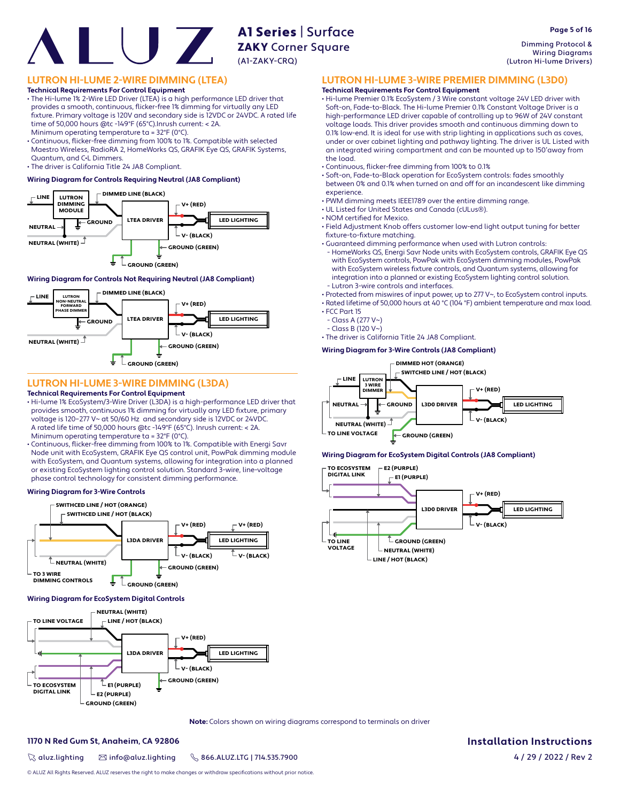the load.

experience.

• FCC Part 15 - Class A (277 V~) - Class B (120 V~)

 $\cdot$  NOM certified for Mexico.

fixture-to-fixture matching.

Dimming Protocol & Wiring Diagrams (Lutron Hi-lume Drivers)

**Page 5 of 16**

#### **LUTRON HI-LUME 2-WIRE DIMMING (LTEA)**

**Technical Requirements For Control Equipment**

• The Hi-lume 1% 2-Wire LED Driver (LTEA) is a high performance LED driver that provides a smooth, continuous, flicker-free 1% dimming for virtually any LED fi xture. Primary voltage is 120V and secondary side is 12VDC or 24VDC. A rated life time of 50,000 hours @tc -149°F (65°C).Inrush current: < 2A.

Minimum operating temperature ta = 32°F (0°C).

• Continuous, flicker-free dimming from 100% to 1%. Compatible with selected Maestro Wireless, RadioRA 2, HomeWorks QS, GRAFIK Eye QS, GRAFIK Systems, Quantum, and C•L Dimmers.

• The driver is California Title 24 JA8 Compliant.

#### **Wiring Diagram for Controls Requiring Neutral (JA8 Compliant)**



#### **Wiring Diagram for Controls Not Requiring Neutral (JA8 Compliant)**



#### **LUTRON HI-LUME 3-WIRE DIMMING (L3DA)**

#### **Technical Requirements For Control Equipment**

- Hi-lume 1% EcoSystem/3-Wire Driver (L3DA) is a high-performance LED driver that provides smooth, continuous 1% dimming for virtually any LED fixture, primary voltage is 120–277 V~ at 50/60 Hz and secondary side is 12VDC or 24VDC. A rated life time of 50,000 hours @tc -149°F (65°C). Inrush current: < 2A. Minimum operating temperature ta = 32°F (0°C).
- Continuous, flicker-free dimming from 100% to 1%. Compatible with Energi Savr Node unit with EcoSystem, GRAFIK Eye QS control unit, PowPak dimming module with EcoSystem, and Quantum systems, allowing for integration into a planned or existing EcoSystem lighting control solution. Standard 3-wire, line-voltage phase control technology for consistent dimming performance.

#### **Wiring Diagram for 3-Wire Controls**



#### **Wiring Diagram for EcoSystem Digital Controls**



**Note:** Colors shown on wiring diagrams correspond to terminals on driver

#### **1170 N Red Gum St, Anaheim, CA 92806**

 $\%$  aluz.lighting  $\%$  info@aluz.lighting  $\%$  866.ALUZ.LTG | 714.535.7900

**Installation Instructions**



**LUTRON HI-LUME 3-WIRE PREMIER DIMMING (L3D0)**

• Soft-on, Fade-to-Black operation for EcoSystem controls: fades smoothly between 0% and 0.1% when turned on and off for an incandescent like dimming

• Field Adjustment Knob offers customer low-end light output tuning for better

 - HomeWorks QS, Energi Savr Node units with EcoSystem controls, GRAFIK Eye QS with EcoSystem controls, PowPak with EcoSystem dimming modules, PowPak with EcoSystem wireless fixture controls, and Quantum systems, allowing for integration into a planned or existing EcoSystem lighting control solution.

• Protected from miswires of input power, up to 277 V~, to EcoSystem control inputs. • Rated lifetime of 50,000 hours at 40 °C (104 °F) ambient temperature and max load.

• PWM dimming meets IEEE1789 over the entire dimming range.

• Guaranteed dimming performance when used with Lutron controls:

• Hi-lume Premier 0.1% EcoSystem / 3 Wire constant voltage 24V LED driver with Soft-on, Fade-to-Black. The Hi-lume Premier 0.1% Constant Voltage Driver is a high-performance LED driver capable of controlling up to 96W of 24V constant voltage loads. This driver provides smooth and continuous dimming down to 0.1% low-end. It is ideal for use with strip lighting in applications such as coves, under or over cabinet lighting and pathway lighting. The driver is UL Listed with an integrated wiring compartment and can be mounted up to 150'away from

**Technical Requirements For Control Equipment**

• Continuous, flicker-free dimming from 100% to 0.1%

• UL Listed for United States and Canada (cULus®).

- Lutron 3-wire controls and interfaces.

• The driver is California Title 24 JA8 Compliant.

**Wiring Diagram for 3-Wire Controls (JA8 Compliant)**

#### **Wiring Diagram for EcoSystem Digital Controls (JA8 Compliant)**



© ALUZ All Rights Reserved. ALUZ reserves the right to make changes or withdraw specifications without prior notice.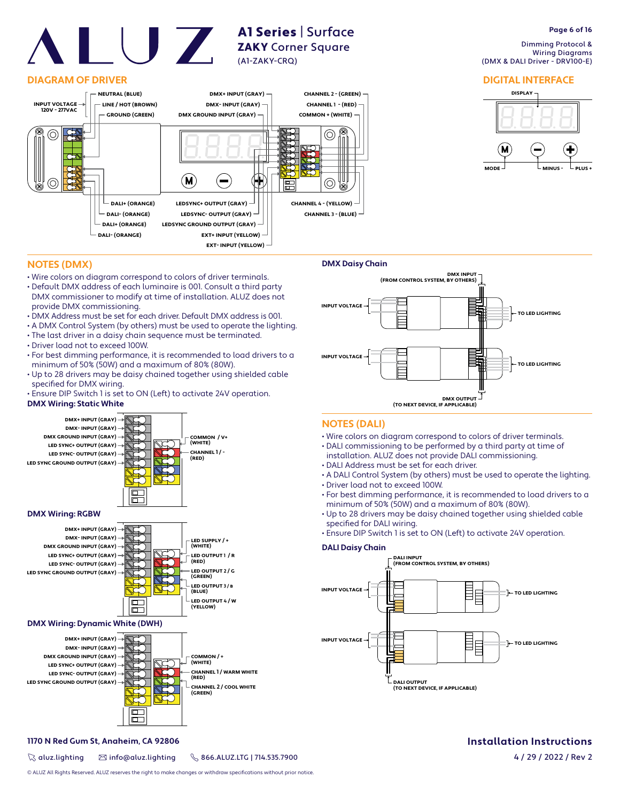#### **DIAGRAM OF DRIVER**



A1 Series | Surface ZAKY Corner Square

(A1-ZAKY-CRQ)

# **Page 6 of 16**

 Dimming Protocol & Wiring Diagrams (DMX & DALI Driver - DRV100-E)

#### **DIGITAL INTERFACE**



#### **NOTES (DMX)**

- Wire colors on diagram correspond to colors of driver terminals.
- Default DMX address of each luminaire is 001. Consult a third party DMX commissioner to modify at time of installation. ALUZ does not provide DMX commissioning.
- DMX Address must be set for each driver. Default DMX address is 001.
- A DMX Control System (by others) must be used to operate the lighting.
- The last driver in a daisy chain sequence must be terminated.
- Driver load not to exceed 100W.
- For best dimming performance, it is recommended to load drivers to a minimum of 50% (50W) and a maximum of 80% (80W).
- Up to 28 drivers may be daisy chained together using shielded cable specified for DMX wiring.
- Ensure DIP Switch 1 is set to ON (Left) to activate 24V operation.

#### **DMX Wiring: Static White**







#### **DMX Wiring: Dynamic White (DWH)**



#### **1170 N Red Gum St, Anaheim, CA 92806**

 $\%$  aluz.lighting  $\%$  info@aluz.lighting  $\%$  866.ALUZ.LTG | 714.535.7900



#### **NOTES (DALI)**

- Wire colors on diagram correspond to colors of driver terminals.
- DALI commissioning to be performed by a third party at time of
- installation. ALUZ does not provide DALI commissioning.
- DALI Address must be set for each driver.
- A DALI Control System (by others) must be used to operate the lighting. • Driver load not to exceed 100W.
- For best dimming performance, it is recommended to load drivers to a minimum of 50% (50W) and a maximum of 80% (80W).
- Up to 28 drivers may be daisy chained together using shielded cable specified for DALI wiring.
- Ensure DIP Switch 1 is set to ON (Left) to activate 24V operation.

#### **DALI Daisy Chain**



# **Installation Instructions**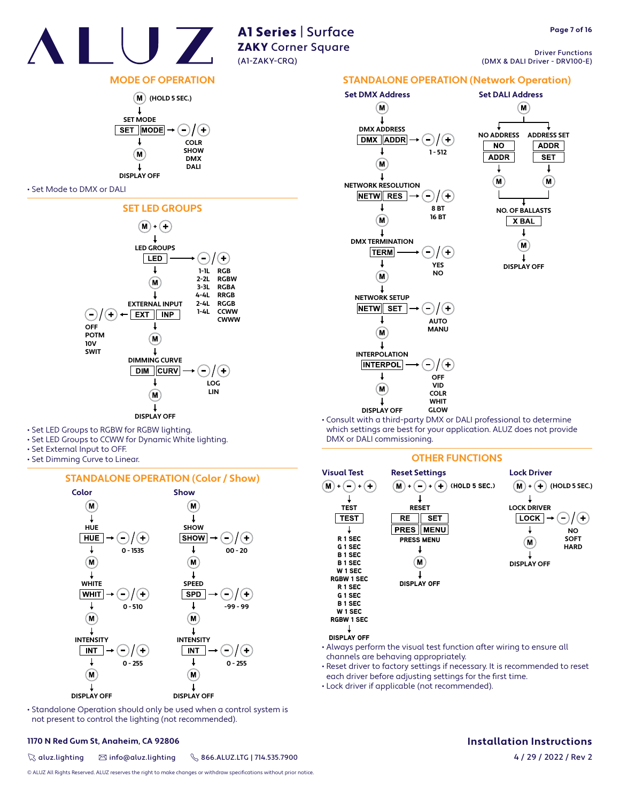

Driver Functions (DMX & DALI Driver - DRV100-E)

#### **MODE OF OPERATION**



#### • Set Mode to DMX or DALI



- Set LED Groups to RGBW for RGBW lighting.
- Set LED Groups to CCWW for Dynamic White lighting.
- Set External Input to OFF.
- Set Dimming Curve to Linear.

#### **STANDALONE OPERATION (Color / Show)**



• Standalone Operation should only be used when a control system is not present to control the lighting (not recommended).

#### **1170 N Red Gum St, Anaheim, CA 92806**

 $\%$  aluz.lighting  $\%$  info@aluz.lighting  $\%$  866.ALUZ.LTG | 714.535.7900

© ALUZ All Rights Reserved. ALUZ reserves the right to make changes or withdraw specifications without prior notice.



• Consult with a third-party DMX or DALI professional to determine which settings are best for your application. ALUZ does not provide DMX or DALI commissioning.

#### **OTHER FUNCTIONS**



- Always perform the visual test function after wiring to ensure all channels are behaving appropriately.
- Reset driver to factory settings if necessary. It is recommended to reset each driver before adjusting settings for the first time.
- Lock driver if applicable (not recommended).

### **Installation Instructions**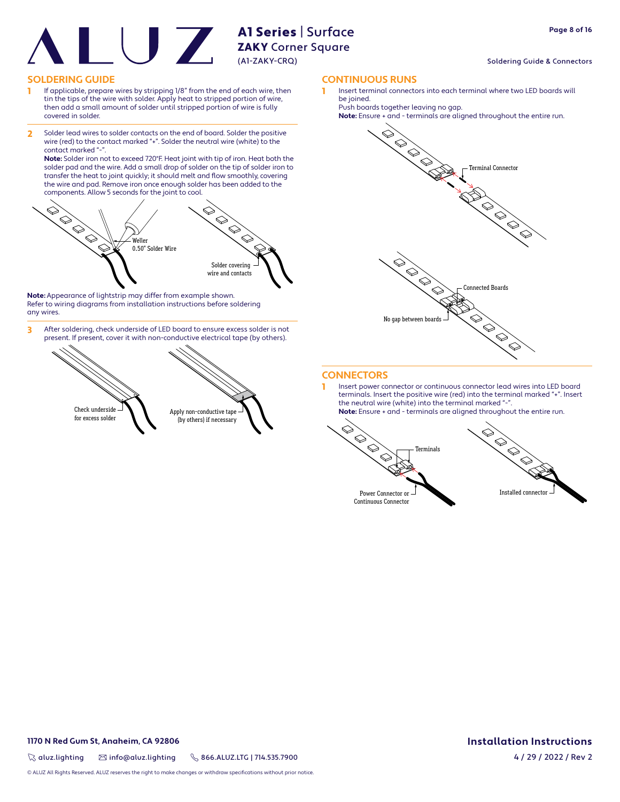# A1 Series | Surface

#### ZAKY Corner Square (A1-ZAKY-CRQ)

- 1 If applicable, prepare wires by stripping 1/8" from the end of each wire, then tin the tips of the wire with solder. Apply heat to stripped portion of wire, then add a small amount of solder until stripped portion of wire is fully covered in solder.
- 2 Solder lead wires to solder contacts on the end of board. Solder the positive wire (red) to the contact marked "+". Solder the neutral wire (white) to the contact marked "-

**Note:** Solder iron not to exceed 720°F. Heat joint with tip of iron. Heat both the solder pad and the wire. Add a small drop of solder on the tip of solder iron to transfer the heat to joint quickly; it should melt and flow smoothly, covering the wire and pad. Remove iron once enough solder has been added to the components. Allow 5 seconds for the joint to cool.



**Note:** Appearance of lightstrip may differ from example shown. Refer to wiring diagrams from installation instructions before soldering any wires.

3 After soldering, check underside of LED board to ensure excess solder is not present. If present, cover it with non-conductive electrical tape (by others).



**SOLDERING GUIDE CONTINUOUS RUNS**

1 Insert terminal connectors into each terminal where two LED boards will be joined.

Push boards together leaving no gap.



#### **CONNECTORS**

1 Insert power connector or continuous connector lead wires into LED board terminals. Insert the positive wire (red) into the terminal marked "+". Insert the neutral wire (white) into the terminal marked "-**Note:** Ensure + and - terminals are aligned throughout the entire run.





Continuous Connector

Soldering Guide & Connectors

#### **Installation Instructions** 4 / 29 / 2022 / Rev 2

**1170 N Red Gum St, Anaheim, CA 92806**

 $\%$  aluz.lighting  $\%$  info@aluz.lighting  $\%$  866.ALUZ.LTG | 714.535.7900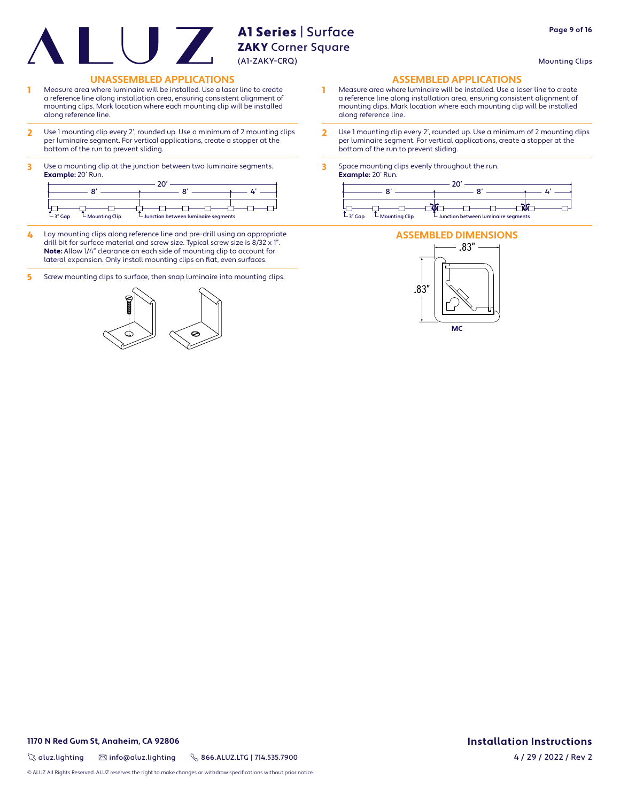Mounting Clips

**Page 9 of 16**

#### **UNASSEMBLED APPLICATIONS ASSEMBLED APPLICATIONS**

- 1 Measure area where luminaire will be installed. Use a laser line to create a reference line along installation area, ensuring consistent alignment of mounting clips. Mark location where each mounting clip will be installed along reference line.
- 2 Use 1 mounting clip every 2', rounded up. Use a minimum of 2 mounting clips per luminaire segment. For vertical applications, create a stopper at the bottom of the run to prevent sliding.
- 3 Use a mounting clip at the junction between two luminaire segments. **Example:** 20' Run.

|            |                   | --                                                           |  |            |
|------------|-------------------|--------------------------------------------------------------|--|------------|
|            |                   |                                                              |  |            |
| $-$ 3" Gap | $L$ Mounting Clip | $\overline{\phantom{a}}$ Junction between luminaire segments |  | $-$ 3" Gap |

- 4 Lay mounting clips along reference line and pre-drill using an appropriate drill bit for surface material and screw size. Typical screw size is 8/32 x 1". **Note:** Allow 1/4" clearance on each side of mounting clip to account for lateral expansion. Only install mounting clips on flat, even surfaces.
- 5 Screw mounting clips to surface, then snap luminaire into mounting clips.



- 1 Measure area where luminaire will be installed. Use a laser line to create a reference line along installation area, ensuring consistent alignment of mounting clips. Mark location where each mounting clip will be installed along reference line.
- 2 Use 1 mounting clip every 2', rounded up. Use a minimum of 2 mounting clips per luminaire segment. For vertical applications, create a stopper at the bottom of the run to prevent sliding.
- 3 Space mounting clips evenly throughout the run. **Example:** 20' Run.



#### **ASSEMBLED DIMENSIONS**



**1170 N Red Gum St, Anaheim, CA 92806**

 $\%$  aluz.lighting  $\%$  info@aluz.lighting  $\%$  866.ALUZ.LTG | 714.535.7900

**Installation Instructions** 4 / 29 / 2022 / Rev 2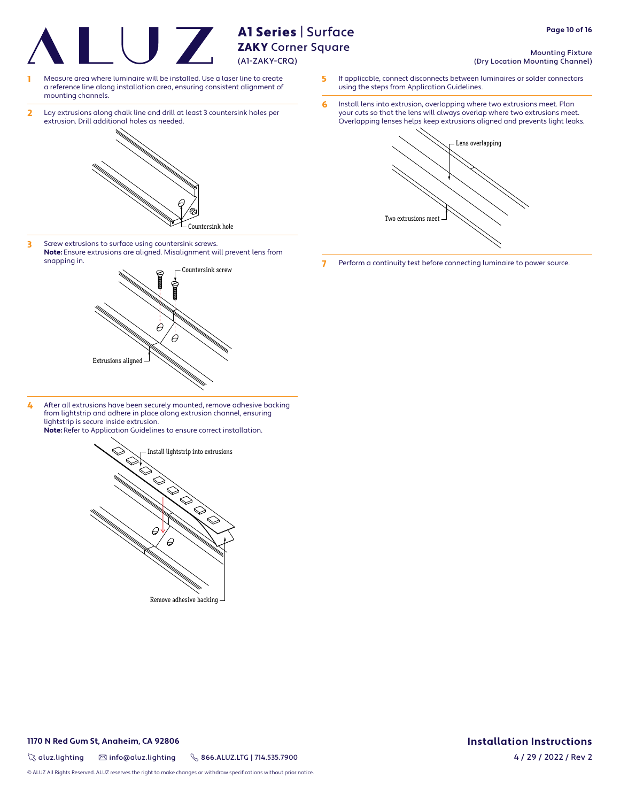**ZAKY** Corner Square (A1-ZAKY-CRQ)

A1 Series | Surface

- Measure area where luminaire will be installed. Use a laser line to create a reference line along installation area, ensuring consistent alignment of mounting channels.
- 2 Lay extrusions along chalk line and drill at least 3 countersink holes per extrusion. Drill additional holes as needed.



3 Screw extrusions to surface using countersink screws. **Note:** Ensure extrusions are aligned. Misalignment will prevent lens from snapping in.



4 After all extrusions have been securely mounted, remove adhesive backing from lightstrip and adhere in place along extrusion channel, ensuring lightstrip is secure inside extrusion. **Note:** Refer to Application Guidelines to ensure correct installation.



- Mounting Fixture (Dry Location Mounting Channel)
- 5 If applicable, connect disconnects between luminaires or solder connectors using the steps from Application Guidelines.
- 6 Install lens into extrusion, overlapping where two extrusions meet. Plan your cuts so that the lens will always overlap where two extrusions meet. Overlapping lenses helps keep extrusions aligned and prevents light leaks.



7 Perform a continuity test before connecting luminaire to power source.

**1170 N Red Gum St, Anaheim, CA 92806**

 $\%$  aluz.lighting  $\%$  info@aluz.lighting  $\%$  866.ALUZ.LTG | 714.535.7900

© ALUZ All Rights Reserved. ALUZ reserves the right to make changes or withdraw specifications without prior notice.

**Installation Instructions**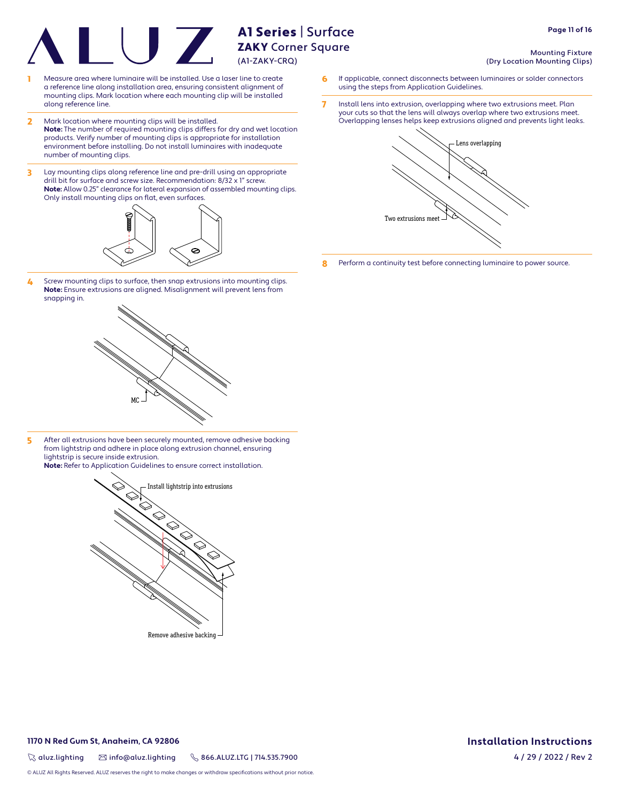- Measure area where luminaire will be installed. Use a laser line to create a reference line along installation area, ensuring consistent alignment of mounting clips. Mark location where each mounting clip will be installed along reference line.
- 2 Mark location where mounting clips will be installed. **Note:** The number of required mounting clips differs for dry and wet location products. Verify number of mounting clips is appropriate for installation environment before installing. Do not install luminaires with inadequate number of mounting clips.
- 3 Lay mounting clips along reference line and pre-drill using an appropriate drill bit for surface and screw size. Recommendation: 8/32 x 1" screw. **Note:** Allow 0.25" clearance for lateral expansion of assembled mounting clips. Only install mounting clips on flat, even surfaces.



4 Screw mounting clips to surface, then snap extrusions into mounting clips. **Note:** Ensure extrusions are aligned. Misalignment will prevent lens from snapping in.



5 After all extrusions have been securely mounted, remove adhesive backing from lightstrip and adhere in place along extrusion channel, ensuring lightstrip is secure inside extrusion. **Note:** Refer to Application Guidelines to ensure correct installation.



Remove adhesive backing

- Mounting Fixture (Dry Location Mounting Clips)
- 6 If applicable, connect disconnects between luminaires or solder connectors using the steps from Application Guidelines.
- 7 Install lens into extrusion, overlapping where two extrusions meet. Plan your cuts so that the lens will always overlap where two extrusions meet. Overlapping lenses helps keep extrusions aligned and prevents light leaks.



8 Perform a continuity test before connecting luminaire to power source.

#### **1170 N Red Gum St, Anaheim, CA 92806**

 $\%$  aluz.lighting  $\%$  info@aluz.lighting  $\%$  866.ALUZ.LTG | 714.535.7900

© ALUZ All Rights Reserved. ALUZ reserves the right to make changes or withdraw specifications without prior notice.

# **Installation Instructions**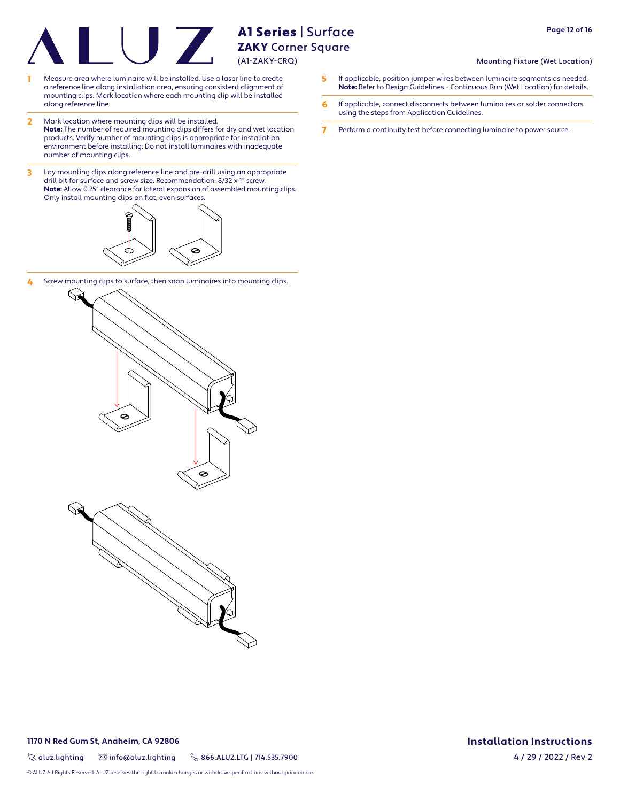- 1 Measure area where luminaire will be installed. Use a laser line to create a reference line along installation area, ensuring consistent alignment of mounting clips. Mark location where each mounting clip will be installed along reference line.
- 2 Mark location where mounting clips will be installed. **Note:** The number of required mounting clips differs for dry and wet location products. Verify number of mounting clips is appropriate for installation environment before installing. Do not install luminaires with inadequate number of mounting clips.
- 3 Lay mounting clips along reference line and pre-drill using an appropriate drill bit for surface and screw size. Recommendation: 8/32 x 1" screw. **Note:** Allow 0.25" clearance for lateral expansion of assembled mounting clips. Only install mounting clips on flat, even surfaces.



4 Screw mounting clips to surface, then snap luminaires into mounting clips.



**1170 N Red Gum St, Anaheim, CA 92806**

 $\%$  aluz.lighting  $\%$  info@aluz.lighting  $\%$  866.ALUZ.LTG | 714.535.7900

© ALUZ All Rights Reserved. ALUZ reserves the right to make changes or withdraw specifications without prior notice.

- Mounting Fixture (Wet Location)
- 5 If applicable, position jumper wires between luminaire segments as needed. **Note:** Refer to Design Guidelines - Continuous Run (Wet Location) for details.
- 6 If applicable, connect disconnects between luminaires or solder connectors using the steps from Application Guidelines.
- 7 Perform a continuity test before connecting luminaire to power source.

**Installation Instructions** 4 / 29 / 2022 / Rev 2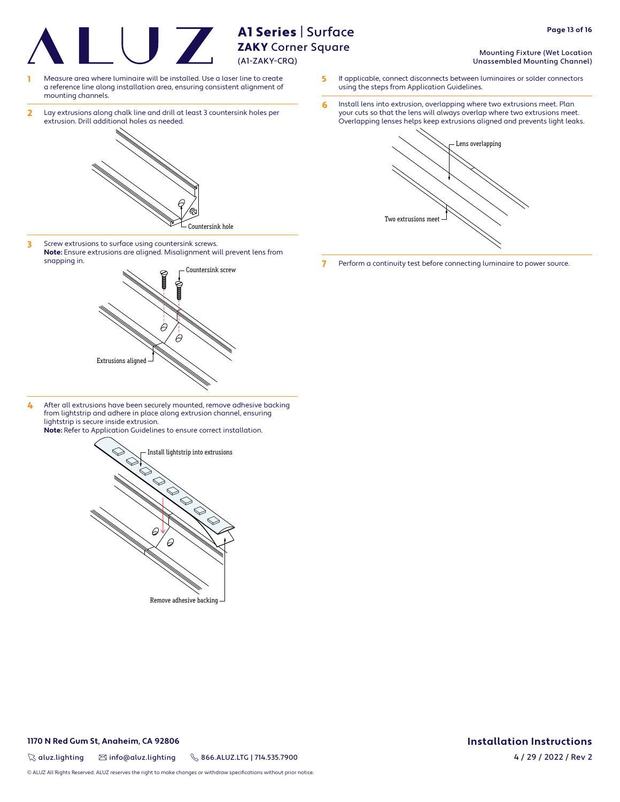**ZAKY** Corner Square (A1-ZAKY-CRQ)

A1 Series | Surface

- Measure area where luminaire will be installed. Use a laser line to create a reference line along installation area, ensuring consistent alignment of mounting channels.
- 2 Lay extrusions along chalk line and drill at least 3 countersink holes per extrusion. Drill additional holes as needed.



3 Screw extrusions to surface using countersink screws. **Note:** Ensure extrusions are aligned. Misalignment will prevent lens from snapping in.



4 After all extrusions have been securely mounted, remove adhesive backing from lightstrip and adhere in place along extrusion channel, ensuring lightstrip is secure inside extrusion. **Note:** Refer to Application Guidelines to ensure correct installation.



Remove adhesive backing

- Mounting Fixture (Wet Location Unassembled Mounting Channel)
- 5 If applicable, connect disconnects between luminaires or solder connectors using the steps from Application Guidelines.
- 6 Install lens into extrusion, overlapping where two extrusions meet. Plan your cuts so that the lens will always overlap where two extrusions meet. Overlapping lenses helps keep extrusions aligned and prevents light leaks.



7 Perform a continuity test before connecting luminaire to power source.

**1170 N Red Gum St, Anaheim, CA 92806**

 $\%$  aluz.lighting  $\%$  info@aluz.lighting  $\%$  866.ALUZ.LTG | 714.535.7900

© ALUZ All Rights Reserved. ALUZ reserves the right to make changes or withdraw specifications without prior notice.

**Installation Instructions** 4 / 29 / 2022 / Rev 2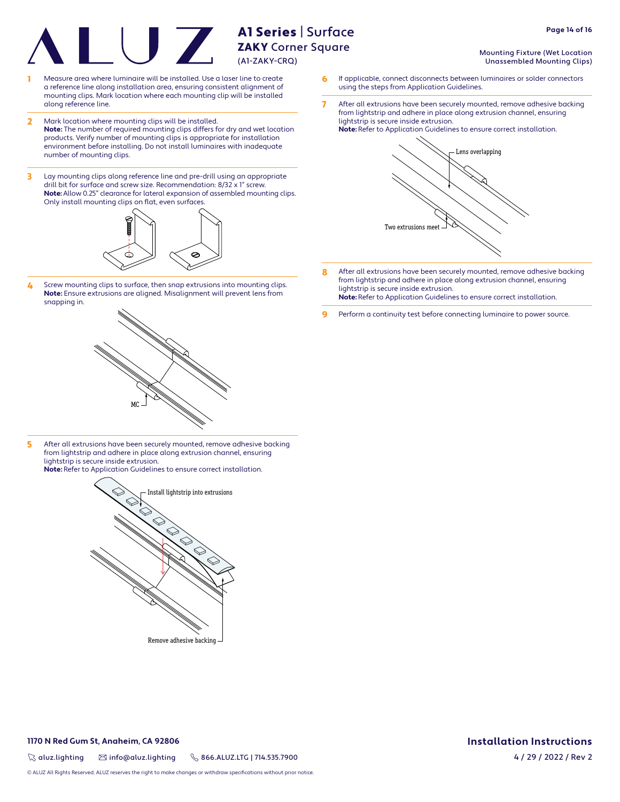- Measure area where luminaire will be installed. Use a laser line to create a reference line along installation area, ensuring consistent alignment of mounting clips. Mark location where each mounting clip will be installed along reference line.
- 2 Mark location where mounting clips will be installed. **Note:** The number of required mounting clips differs for dry and wet location products. Verify number of mounting clips is appropriate for installation environment before installing. Do not install luminaires with inadequate number of mounting clips.
- 3 Lay mounting clips along reference line and pre-drill using an appropriate drill bit for surface and screw size. Recommendation: 8/32 x 1" screw. **Note:** Allow 0.25" clearance for lateral expansion of assembled mounting clips. Only install mounting clips on flat, even surfaces.



4 Screw mounting clips to surface, then snap extrusions into mounting clips. **Note:** Ensure extrusions are aligned. Misalignment will prevent lens from snapping in.



5 After all extrusions have been securely mounted, remove adhesive backing from lightstrip and adhere in place along extrusion channel, ensuring lightstrip is secure inside extrusion.

**Note:** Refer to Application Guidelines to ensure correct installation.



Remove adhesive backing

Mounting Fixture (Wet Location Unassembled Mounting Clips)

**Page 14 of 16**

- 6 If applicable, connect disconnects between luminaires or solder connectors using the steps from Application Guidelines.
- 7 After all extrusions have been securely mounted, remove adhesive backing from lightstrip and adhere in place along extrusion channel, ensuring lightstrip is secure inside extrusion.



- 8 After all extrusions have been securely mounted, remove adhesive backing from lightstrip and adhere in place along extrusion channel, ensuring lightstrip is secure inside extrusion. **Note:** Refer to Application Guidelines to ensure correct installation.
- **9** Perform a continuity test before connecting luminaire to power source.

#### **1170 N Red Gum St, Anaheim, CA 92806**

 $\%$  aluz.lighting  $\%$  info@aluz.lighting  $\%$  866.ALUZ.LTG | 714.535.7900

© ALUZ All Rights Reserved. ALUZ reserves the right to make changes or withdraw specifications without prior notice.

# **Installation Instructions**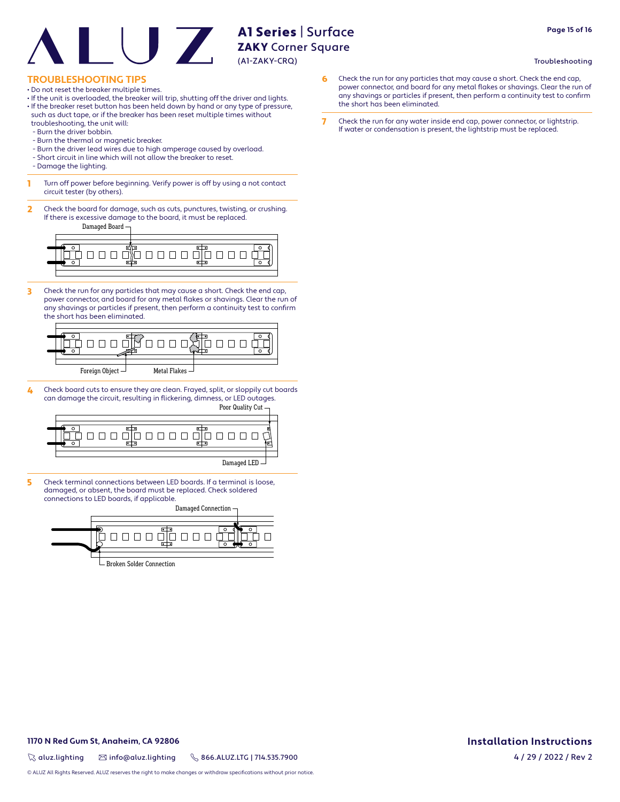#### Troubleshooting

**Page 15 of 16**

#### **TROUBLESHOOTING TIPS**

- Do not reset the breaker multiple times.
- If the unit is overloaded, the breaker will trip, shutting off the driver and lights.
- If the breaker reset button has been held down by hand or any type of pressure, such as duct tape, or if the breaker has been reset multiple times without troubleshooting, the unit will:
- Burn the driver bobbin.
- Burn the thermal or magnetic breaker.
- Burn the driver lead wires due to high amperage caused by overload.
- Short circuit in line which will not allow the breaker to reset.
- Damage the lighting.
- **1** Turn off power before beginning. Verify power is off by using a not contact circuit tester (by others).
- 2 Check the board for damage, such as cuts, punctures, twisting, or crushing. If there is excessive damage to the board, it must be replaced.

Damaged Board



3 Check the run for any particles that may cause a short. Check the end cap, power connector, and board for any metal flakes or shavings. Clear the run of any shavings or particles if present, then perform a continuity test to confirm the short has been eliminated.



4 Check board cuts to ensure they are clean. Frayed, split, or sloppily cut boards can damage the circuit, resulting in flickering, dimness, or LED outages.



5 Check terminal connections between LED boards. If a terminal is loose, damaged, or absent, the board must be replaced. Check soldered connections to LED boards, if applicable.

Damaged Connection 000000000 Broken Solder Connection

- 6 Check the run for any particles that may cause a short. Check the end cap, power connector, and board for any metal flakes or shavings. Clear the run of any shavings or particles if present, then perform a continuity test to confirm the short has been eliminated.
- 7 Check the run for any water inside end cap, power connector, or lightstrip. If water or condensation is present, the lightstrip must be replaced.

#### **1170 N Red Gum St, Anaheim, CA 92806**

 $\%$  aluz.lighting  $\%$  info@aluz.lighting  $\%$  866.ALUZ.LTG | 714.535.7900